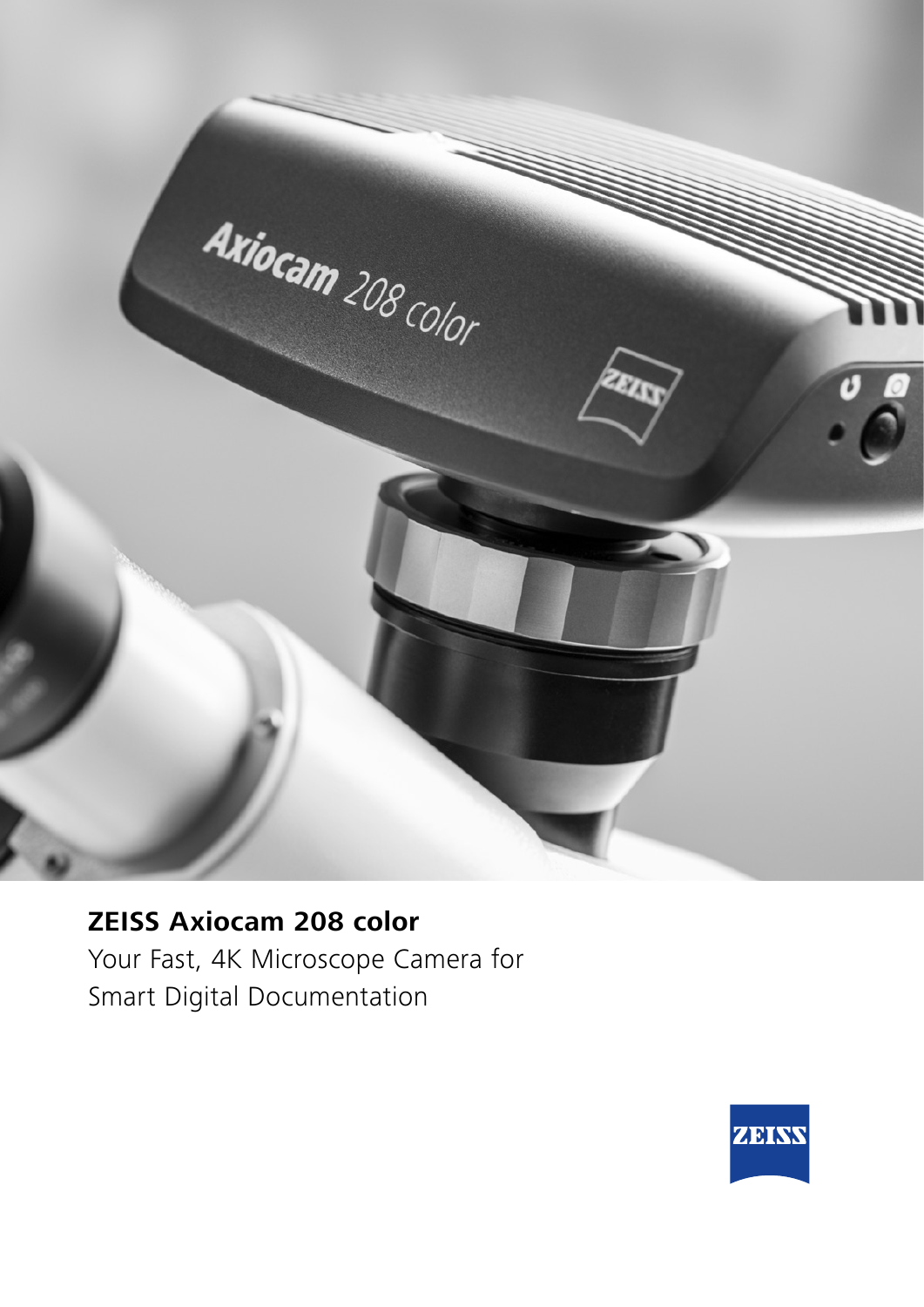

## **ZEISS Axiocam 208 color** Your Fast, 4K Microscope Camera for Smart Digital Documentation

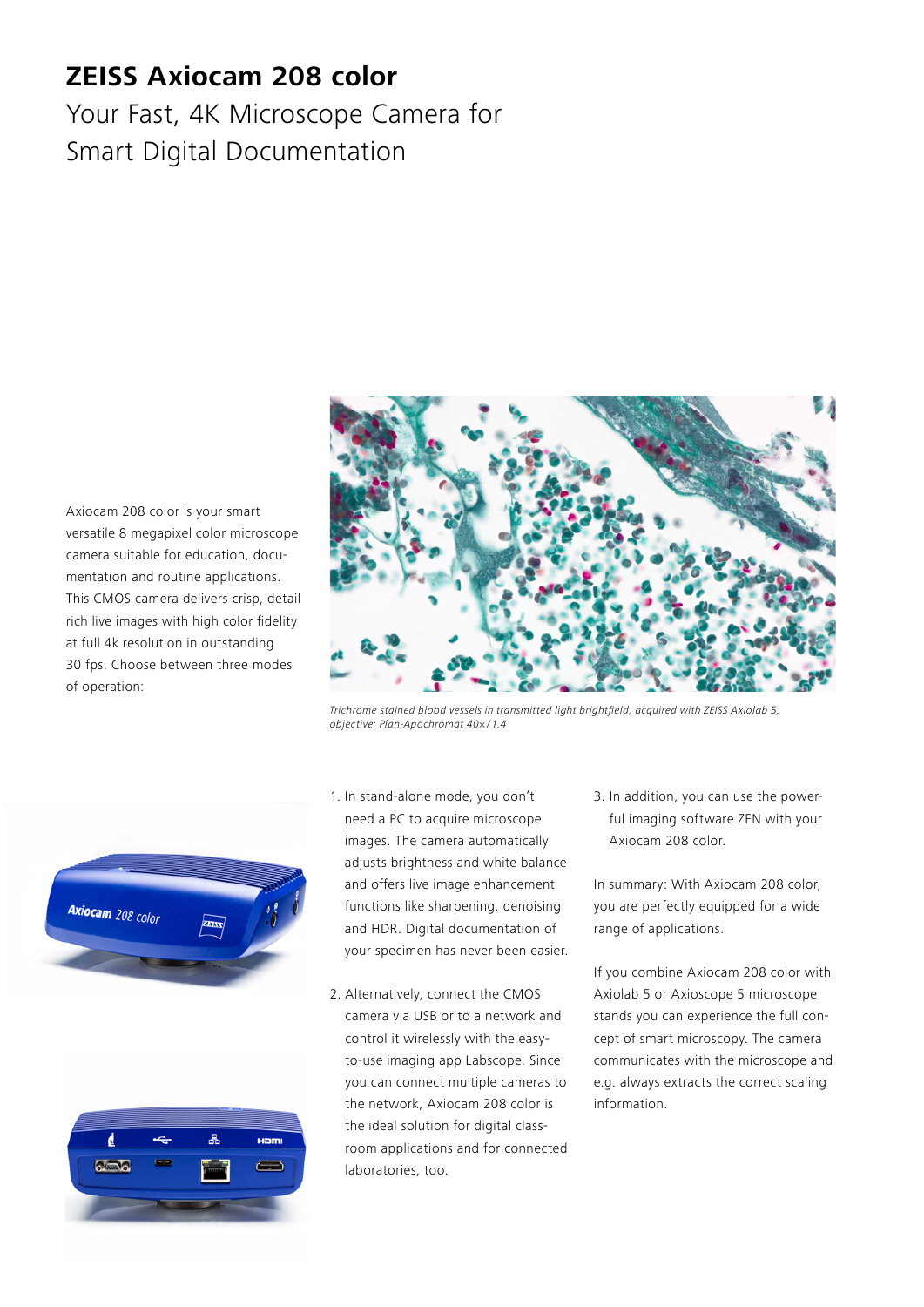## **ZEISS Axiocam 208 color**

Your Fast, 4K Microscope Camera for Smart Digital Documentation

Axiocam 208 color is your smart versatile 8 megapixel color microscope camera suitable for education, documentation and routine applications. This CMOS camera delivers crisp, detail rich live images with high color fidelity at full 4k resolution in outstanding 30 fps. Choose between three modes of operation:



Trichrome stained blood vessels in transmitted light brightfield, acquired with ZEISS Axiolab 5, objective: Plan-Apochromat 40× / 1.4





- 1. In stand-alone mode, you don't need a PC to acquire microscope images. The camera automatically adjusts brightness and white balance and offers live image enhancement functions like sharpening, denoising and HDR. Digital documentation of your specimen has never been easier.
- 2. Alternatively, connect the CMOS camera via USB or to a network and control it wirelessly with the easyto-use imaging app Labscope. Since you can connect multiple cameras to the network, Axiocam 208 color is the ideal solution for digital classroom applications and for connected laboratories, too.

3. In addition, you can use the powerful imaging software ZEN with your Axiocam 208 color.

In summary: With Axiocam 208 color, you are perfectly equipped for a wide range of applications.

If you combine Axiocam 208 color with Axiolab 5 or Axioscope 5 microscope stands you can experience the full concept of smart microscopy. The camera communicates with the microscope and e.g. always extracts the correct scaling information.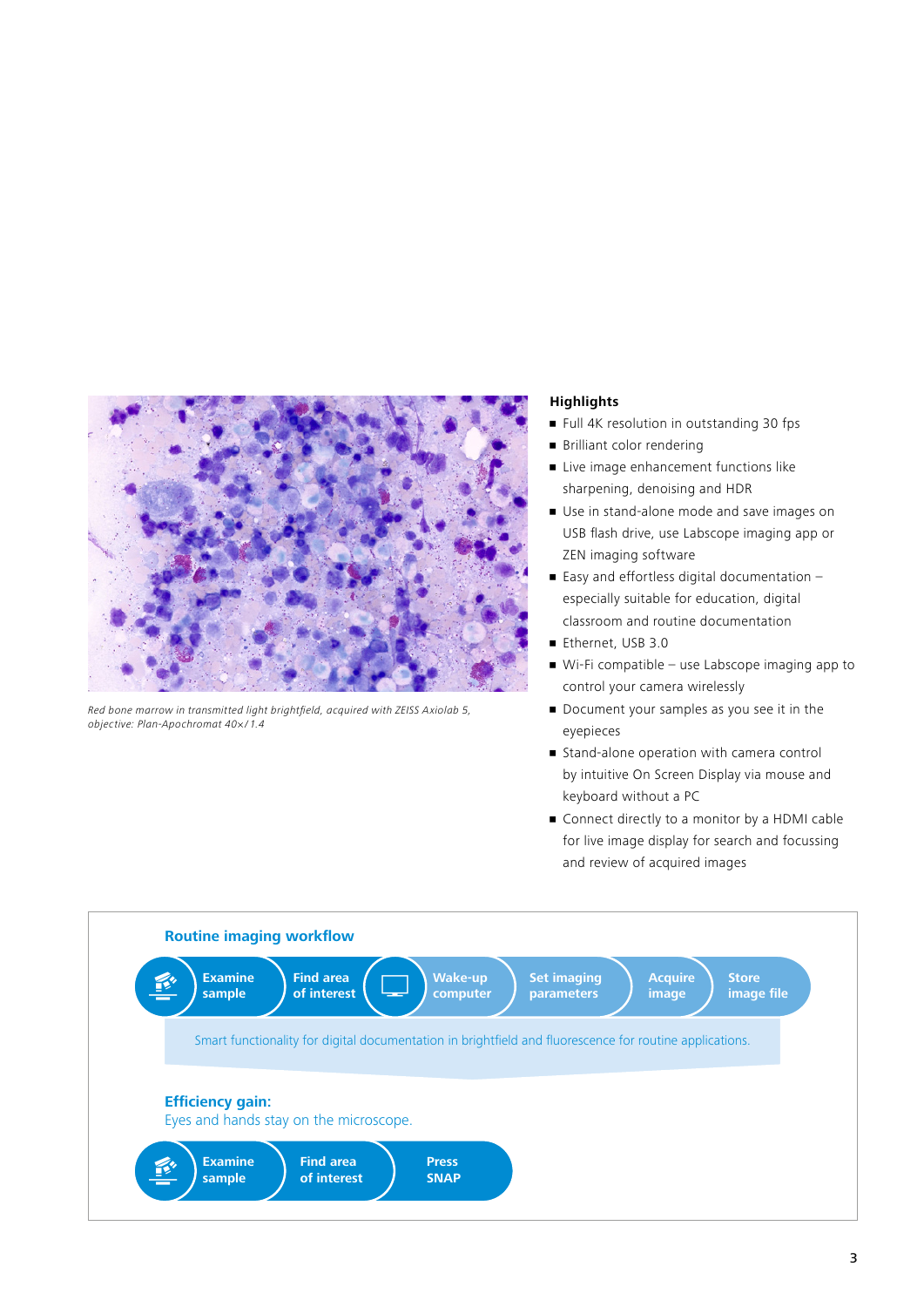

Red bone marrow in transmitted light brightfield, acquired with ZEISS Axiolab 5, objective: Plan-Apochromat 40× / 1.4

## **Highlights**

- **•** Full 4K resolution in outstanding 30 fps
- Brilliant color rendering
- **E** Live image enhancement functions like sharpening, denoising and HDR
- Use in stand-alone mode and save images on USB flash drive, use Labscope imaging app or ZEN imaging software
- $\blacksquare$  Easy and effortless digital documentation  $$ especially suitable for education, digital classroom and routine documentation
- Ethernet, USB 3.0
- Wi-Fi compatible use Labscope imaging app to control your camera wirelessly
- Document your samples as you see it in the eyepieces
- **Example 3** Stand-alone operation with camera control by intuitive On Screen Display via mouse and keyboard without a PC
- Connect directly to a monitor by a HDMI cable for live image display for search and focussing and review of acquired images